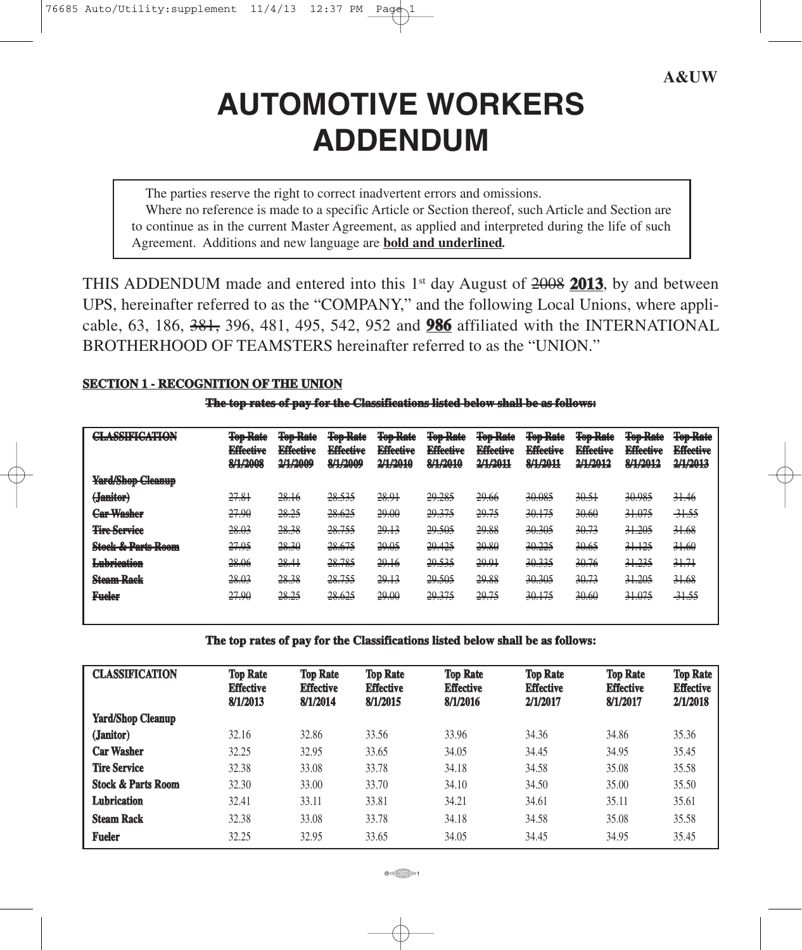# **AUTOMOTIVE WORKERS ADDENDUM**

The parties reserve the right to correct inadvertent errors and omissions. Where no reference is made to a specific Article or Section thereof, such Article and Section are to continue as in the current Master Agreement, as applied and interpreted during the life of such Agreement. Additions and new language are **bold and underlined***.*

THIS ADDENDUM made and entered into this  $1<sup>st</sup>$  day August of  $2008$  2013, by and between UPS, hereinafter referred to as the "COMPANY," and the following Local Unions, where applicable, 63, 186, 381, 396, 481, 495, 542, 952 and **986** affiliated with the INTERNATIONAL BROTHERHOOD OF TEAMSTERS hereinafter referred to as the "UNION."

# **SECTION 1 - RECOGNITION OF THE UNION**

**The top rates of pay for the Classifications listed below shall be as follows:**

| <b>CLA CEIFICATION</b><br>レマス ディックマンス エーティング・マーテ レマノル       | <b>Ton Doto</b><br><b>TUD TARK</b><br><b>Fffootivo</b><br><b>INTERNATIONAL</b><br><u>Q/1/2000</u><br>$T/T$ and $T$ | <b>Ton Dota</b><br><b>TOP TABLE</b><br><b>Effective</b><br><b>ELICCETC</b><br>2/1/2000<br><b>CONTRACTOR</b> | <b>Ton Dota</b><br><del>IVIJ RHK</del><br><b>Effective</b><br><b>ELIVERYC</b><br><b>Q/1/2000</b><br><b><i>FOR THE STATE.</i></b> | <b>Ton Doto</b><br><b>TUD TERRE</b><br><b>Effective</b><br><b>LANGER VO</b><br>2/1/2010<br><b>CONTRACTOR</b> | <b>Ton Dota</b><br><b>TUD TIME</b><br><b>Effective</b><br><b>LANGER VO</b><br><b>Q/1/2010</b><br><b>ROBERT TERMINER</b> | <b>Ton Dota</b><br><b>TUD TERM</b><br><b>Effective</b><br><b>ELISCOPT</b><br><b>1/1/1011</b><br><b>CONTRACTOR</b> | <b>Ton Dote</b><br>100 Rate<br><b>Effective</b><br><b>ELECTRIC</b><br><b>Q/1/2011</b><br><b>SOFTWIND I</b> | Tan Data<br><del>IVIJ RHK</del><br><b>Fff</b> ootivo<br><b>LANGER VO</b><br><b>2/1/2012</b><br><b>CONTRACTOR</b> | <b>Ton Dota</b><br><b>TUD TERRE</b><br><b>Fff</b> ootivo<br><b>EXPLORATION</b><br><u>Q/1/2012</u><br><b>SOFTWARE</b> | <b>Ton Dota</b><br><del>ivs runt</del><br><b>Effective</b><br><b>LITTLE COOL AND</b><br><b>2/1/2012</b><br><b>ALLING COLL</b> |
|-------------------------------------------------------------|--------------------------------------------------------------------------------------------------------------------|-------------------------------------------------------------------------------------------------------------|----------------------------------------------------------------------------------------------------------------------------------|--------------------------------------------------------------------------------------------------------------|-------------------------------------------------------------------------------------------------------------------------|-------------------------------------------------------------------------------------------------------------------|------------------------------------------------------------------------------------------------------------|------------------------------------------------------------------------------------------------------------------|----------------------------------------------------------------------------------------------------------------------|-------------------------------------------------------------------------------------------------------------------------------|
| Vand/Chan Claamun<br><b>THE REPLICE CARDINAL</b>            |                                                                                                                    |                                                                                                             |                                                                                                                                  |                                                                                                              |                                                                                                                         |                                                                                                                   |                                                                                                            |                                                                                                                  |                                                                                                                      |                                                                                                                               |
| (Tomifon)<br><b>CREDITORS</b>                               | 27.81<br>27.01                                                                                                     | 28.16                                                                                                       | 28.535                                                                                                                           | 28.91                                                                                                        | 29.285                                                                                                                  | 20.66<br>27.00                                                                                                    | 20.085<br>JV.VV.                                                                                           | 30.51<br>50.51                                                                                                   | 20.095<br>JU.70J                                                                                                     | 21.16<br>21.70                                                                                                                |
| <u> Can Wachau</u><br>マントリー あまりかけ リワト                       | 27.90                                                                                                              | 28.25                                                                                                       | 28.625                                                                                                                           | 29.00                                                                                                        | 29.375                                                                                                                  | 29.75                                                                                                             | 20175<br>$\sqrt{2}$                                                                                        | 30.60<br>50.00                                                                                                   | 31.075<br>ジェッション                                                                                                     | <del>31.55</del>                                                                                                              |
| <b>Timo Compigo</b><br>.                                    | 28.03                                                                                                              | 28.38                                                                                                       | 28.755                                                                                                                           | 29.13                                                                                                        | 29.505                                                                                                                  | 29.88                                                                                                             | 20.305<br><del>90.000</del>                                                                                | 30.73                                                                                                            | 21,205<br>71.200                                                                                                     | 31.68                                                                                                                         |
| Stool & Doute Doom<br><b>DESCRIPTION OF PROPERTY AND IN</b> | 27.95                                                                                                              | 28.30                                                                                                       | 28.675                                                                                                                           | 20.05<br>27.05                                                                                               | 29.425                                                                                                                  | 20.80<br>27.00                                                                                                    | 30.225<br>$\sqrt{N}$                                                                                       | 30.65<br>50.03                                                                                                   | 21125<br>51.125                                                                                                      | 2160<br><del>91.00</del>                                                                                                      |
| I uhrigation<br>アルトルスメ せんちょうかんしょく                           | 28.06<br>20.00                                                                                                     | 28.41                                                                                                       | 28.785                                                                                                                           | 29.16                                                                                                        | 29.535                                                                                                                  | 2001<br>27.71                                                                                                     | 20.225<br>30.JJJ                                                                                           | 3076<br>50.70                                                                                                    | 21, 225<br>71.255                                                                                                    | 2171<br><del>31.71</del>                                                                                                      |
| Stoom Dook<br>アスタウム トリ 東 スキンマン                              | <u>28.03</u><br>$-0.000$                                                                                           | 28 28<br>20.50                                                                                              | 28.755                                                                                                                           | 29.13                                                                                                        | 29.505                                                                                                                  | 20.88<br>27.00                                                                                                    | 20.305<br>30.JUJ                                                                                           | 2072<br>$\overline{\mathcal{O}\cup\mathcal{O}}}$                                                                 | 21,005<br>71.200                                                                                                     | 2168<br>71.00                                                                                                                 |
| <b>Fueler</b>                                               | 27.90                                                                                                              | 28.25                                                                                                       | 28625<br>$-10$ mV/ $-10$                                                                                                         | 20,00<br>$\rightarrow$                                                                                       | 29.375                                                                                                                  | 29.75                                                                                                             | 20175<br>$\sqrt{2}$                                                                                        | 30.60<br><b>JUNU</b>                                                                                             | 31.075<br>ジェッション                                                                                                     | 21.55<br>21.22                                                                                                                |

**The top rates of pay for the Classifications listed below shall be as follows:**

| <b>CLASSIFICATION</b>         | <b>Top Rate</b><br><b>Effective</b><br>8/1/2013 | <b>Top Rate</b><br><b>Effective</b><br>8/1/2014 | <b>Top Rate</b><br><b>Effective</b><br>8/1/2015 | <b>Top Rate</b><br><b>Effective</b><br>8/1/2016 | <b>Top Rate</b><br><b>Effective</b><br>2/1/2017 | <b>Top Rate</b><br><b>Effective</b><br>8/1/2017 | <b>Top Rate</b><br><b>Effective</b><br>2/1/2018 |
|-------------------------------|-------------------------------------------------|-------------------------------------------------|-------------------------------------------------|-------------------------------------------------|-------------------------------------------------|-------------------------------------------------|-------------------------------------------------|
| <b>Yard/Shop Cleanup</b>      |                                                 |                                                 |                                                 |                                                 |                                                 |                                                 |                                                 |
| (Janitor)                     | 32.16                                           | 32.86                                           | 33.56                                           | 33.96                                           | 34.36                                           | 34.86                                           | 35.36                                           |
| <b>Car Washer</b>             | 32.25                                           | 32.95                                           | 33.65                                           | 34.05                                           | 34.45                                           | 34.95                                           | 35.45                                           |
| <b>Tire Service</b>           | 32.38                                           | 33.08                                           | 33.78                                           | 34.18                                           | 34.58                                           | 35.08                                           | 35.58                                           |
| <b>Stock &amp; Parts Room</b> | 32.30                                           | 33.00                                           | 33.70                                           | 34.10                                           | 34.50                                           | 35.00                                           | 35.50                                           |
| <b>Lubrication</b>            | 32.41                                           | 33.11                                           | 33.81                                           | 34.21                                           | 34.61                                           | 35.11                                           | 35.61                                           |
| <b>Steam Rack</b>             | 32.38                                           | 33.08                                           | 33.78                                           | 34.18                                           | 34.58                                           | 35.08                                           | 35.58                                           |
| <b>Fueler</b>                 | 32.25                                           | 32.95                                           | 33.65                                           | 34.05                                           | 34.45                                           | 34.95                                           | 35.45                                           |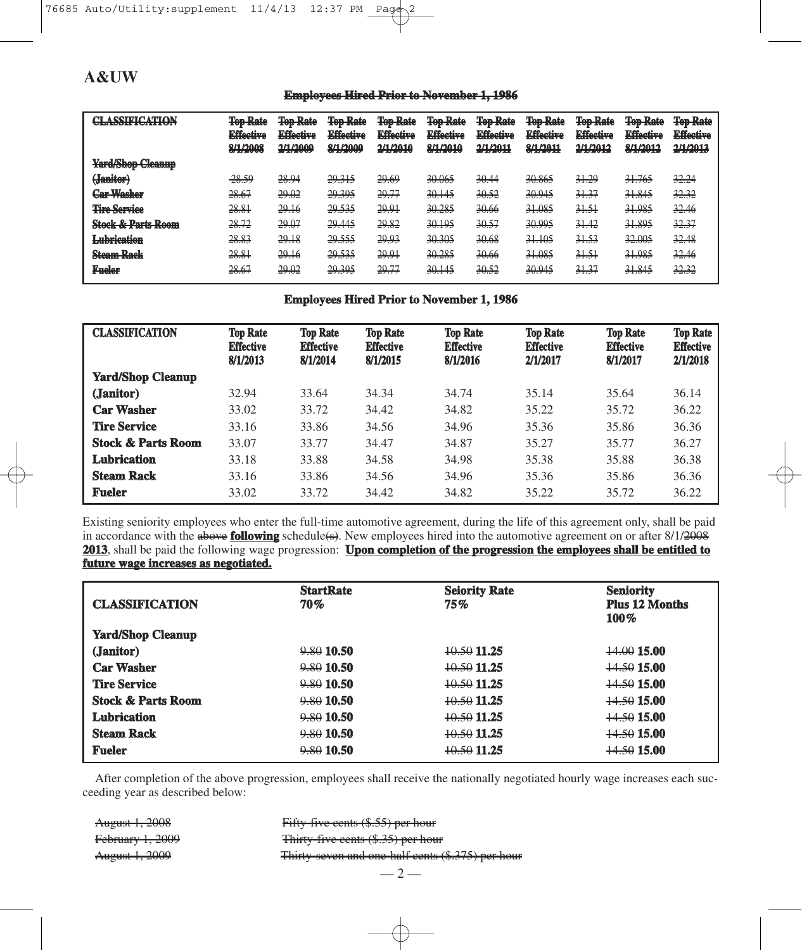## **Employees Hired Prior to November 1, 1986**

| <b>CLA COUTLATION</b>            | <b>Ton Dota</b><br><b>TUP TURE</b><br><b>Fffootivo</b><br><b>ELISTENT</b><br><b>2/1/2008</b><br><b><i><u>OF 17 2000</u></i></b> | <b>Ton Doto</b><br><b>TUD TURE</b><br><b>Fffootivo</b><br><b>EAST-CARTER</b><br>2/1/2000<br><b>ALL AND</b> | <b>Ton Dota</b><br><b>TOD ROOM</b><br><b>Fffootivo</b><br><b>EARLOWER</b><br><b>Q/1/2000</b><br><b><i>REPAIR TRANS</i></b> | <b>Ton Dota</b><br><b>TOD ROOM</b><br><b>Fffootivo</b><br><b>EXISTENT</b><br>2/1/2010<br><b>CONFIDENTIAL AN</b> | <b>Ton Doto</b><br><b>TUU TUUT</b><br><b>Fffootivo</b><br><b>EARCHIVE</b><br><b>Q/1/2010</b><br><b><i>PARTIES</i></b> | <b>Ton Doto</b><br>100 runc<br><b>Fffootivo</b><br><b>EARCHIVE</b><br><b>2/1/2011</b><br>27 IV 20 I | <b>Ton Dota</b><br><b>TUU TURE</b><br><b>Fffootivo</b><br><b>EARLOWER</b><br><b>Q/1/2011</b><br><b><i>AND MY TANK AT</i></b> | <b>Ton Dota</b><br><b>IVIJ IWIU</b><br><b>Fffootivo</b><br><b>LANGUARY</b><br>2/1/2012<br><b>STATISTIC</b> | <b>Ton Dota</b><br><b>TUU TUUT</b><br><b><i>Fffootive</i></b><br><b>ELISTENT</b><br><b>Q/1/2012</b><br><b><i>PARTIES</i></b> | <b>Ton Dota</b><br><b>TUD INSURA</b><br><b>Effective</b><br>トライト ちつつ ちょう<br>2 <i>H 1</i> 2012<br>27372033 |
|----------------------------------|---------------------------------------------------------------------------------------------------------------------------------|------------------------------------------------------------------------------------------------------------|----------------------------------------------------------------------------------------------------------------------------|-----------------------------------------------------------------------------------------------------------------|-----------------------------------------------------------------------------------------------------------------------|-----------------------------------------------------------------------------------------------------|------------------------------------------------------------------------------------------------------------------------------|------------------------------------------------------------------------------------------------------------|------------------------------------------------------------------------------------------------------------------------------|-----------------------------------------------------------------------------------------------------------|
| <b>Yard/Shop Cleanup</b>         |                                                                                                                                 |                                                                                                            |                                                                                                                            |                                                                                                                 |                                                                                                                       |                                                                                                     |                                                                                                                              |                                                                                                            |                                                                                                                              |                                                                                                           |
| (Janitor)                        | -28.59                                                                                                                          | 28.94                                                                                                      | 29.315                                                                                                                     | 29.69                                                                                                           | 30.065                                                                                                                | 20.44<br>JV.TT                                                                                      | 20065<br>JU.OU.                                                                                                              | 31.29                                                                                                      | 31.765                                                                                                                       | 32.24                                                                                                     |
| Car Wachar<br><b>CHIP TYPING</b> | 28.67                                                                                                                           | 29.02                                                                                                      | 29.395                                                                                                                     | 29.77                                                                                                           | 20115<br><del>90.ITJ</del>                                                                                            | 2052<br><del>90.JZ</del>                                                                            | 20.045<br><del>90.743</del>                                                                                                  | 31.37                                                                                                      | 31.845                                                                                                                       | 32.32                                                                                                     |
| <b>Tire Service</b>              | 28.81                                                                                                                           | 29.16                                                                                                      | 29.535                                                                                                                     | 20.01<br>27.71                                                                                                  | 30.285                                                                                                                | 20.66<br>- - - - - -                                                                                | 21,095<br><b>JERUS</b>                                                                                                       | 31.51                                                                                                      | 21 095<br>71.70J                                                                                                             | 32.46                                                                                                     |
| <b>Stock &amp; Parts Room</b>    | 28.72                                                                                                                           | 29.07                                                                                                      | 29.445                                                                                                                     | 29.82                                                                                                           | 30.195                                                                                                                | 30.57                                                                                               | 20.005<br>JU.JJ.                                                                                                             | 31.42                                                                                                      | 21005<br>JI.OZJ                                                                                                              | 32.37                                                                                                     |
| <b>Lubrication</b>               | 28.83                                                                                                                           | 29.18                                                                                                      | 29.555                                                                                                                     | 29.93                                                                                                           | 20.205<br><del>90.903</del>                                                                                           | 20.68<br><del>90.00</del>                                                                           | 31.105                                                                                                                       | 31.53                                                                                                      | 32.005                                                                                                                       | 32.48                                                                                                     |
| <b>Steam Rack</b>                | 28.81<br>20.01                                                                                                                  | 29.16                                                                                                      | 20.535<br>27.000                                                                                                           | 20.01<br>27.71                                                                                                  | 30.285                                                                                                                | 20.66<br>20.00                                                                                      | 31.085<br><b>21.000</b>                                                                                                      | 31.51                                                                                                      | 21.085<br>221.240.2                                                                                                          | 32.46                                                                                                     |
| <b>Fueler</b>                    | <u>20 RT</u><br>20.07                                                                                                           | ഛ ഹ<br>27.UZ                                                                                               | 29.395                                                                                                                     | 29.77                                                                                                           | 20,145<br>JU.ITJ                                                                                                      | 2052<br>JU.JZ                                                                                       | 20.045<br>JU. / TJ                                                                                                           | 31.37                                                                                                      | 21.045<br>JI.OTJ                                                                                                             | 32.32                                                                                                     |

## **Employees Hired Prior to November 1, 1986**

| <b>CLASSIFICATION</b>         | <b>Top Rate</b><br><b>Effective</b><br>8/1/2013 | <b>Top Rate</b><br><b>Effective</b><br>8/1/2014 | <b>Top Rate</b><br><b>Effective</b><br>8/1/2015 | <b>Top Rate</b><br><b>Effective</b><br>8/1/2016 | <b>Top Rate</b><br><b>Effective</b><br>2/1/2017 | <b>Top Rate</b><br><b>Effective</b><br>8/1/2017 | <b>Top Rate</b><br><b>Effective</b><br>2/1/2018 |
|-------------------------------|-------------------------------------------------|-------------------------------------------------|-------------------------------------------------|-------------------------------------------------|-------------------------------------------------|-------------------------------------------------|-------------------------------------------------|
| <b>Yard/Shop Cleanup</b>      |                                                 |                                                 |                                                 |                                                 |                                                 |                                                 |                                                 |
| (Janitor)                     | 32.94                                           | 33.64                                           | 34.34                                           | 34.74                                           | 35.14                                           | 35.64                                           | 36.14                                           |
| <b>Car Washer</b>             | 33.02                                           | 33.72                                           | 34.42                                           | 34.82                                           | 35.22                                           | 35.72                                           | 36.22                                           |
| <b>Tire Service</b>           | 33.16                                           | 33.86                                           | 34.56                                           | 34.96                                           | 35.36                                           | 35.86                                           | 36.36                                           |
| <b>Stock &amp; Parts Room</b> | 33.07                                           | 33.77                                           | 34.47                                           | 34.87                                           | 35.27                                           | 35.77                                           | 36.27                                           |
| <b>Lubrication</b>            | 33.18                                           | 33.88                                           | 34.58                                           | 34.98                                           | 35.38                                           | 35.88                                           | 36.38                                           |
| <b>Steam Rack</b>             | 33.16                                           | 33.86                                           | 34.56                                           | 34.96                                           | 35.36                                           | 35.86                                           | 36.36                                           |
| <b>Fueler</b>                 | 33.02                                           | 33.72                                           | 34.42                                           | 34.82                                           | 35.22                                           | 35.72                                           | 36.22                                           |

Existing seniority employees who enter the full-time automotive agreement, during the life of this agreement only, shall be paid in accordance with the **above following** schedule(s). New employees hired into the automotive agreement on or after 8/1/<del>2008</del> 2013, shall be paid the following wage progression: **Upon completion of the progression the employees shall be entitled to future wage increases as negotiated.**

| <b>CLASSIFICATION</b>         | <b>StartRate</b><br>70% | <b>Seiority Rate</b><br>75% | <b>Seniority</b><br><b>Plus 12 Months</b><br>100% |
|-------------------------------|-------------------------|-----------------------------|---------------------------------------------------|
| <b>Yard/Shop Cleanup</b>      |                         |                             |                                                   |
| (Janitor)                     | $9,80$ 10.50            | 10.50 11.25                 | 14.00 15.00                                       |
| <b>Car Washer</b>             | $9,80$ 10.50            | $+0.50$ 11.25               | <del>14.50</del> 15.00                            |
| <b>Tire Service</b>           | $9,80$ 10.50            | $+0.50$ 11.25               | <del>14.50</del> 15.00                            |
| <b>Stock &amp; Parts Room</b> | $9,80$ 10.50            | $+0.50$ 11.25               | <del>14.50</del> 15.00                            |
| <b>Lubrication</b>            | $9,80$ 10.50            | 10.50 11.25                 | <del>14.50</del> 15.00                            |
| <b>Steam Rack</b>             | $9,80$ 10.50            | 10.50 11.25                 | <del>14.50</del> 15.00                            |
| <b>Fueler</b>                 | $9,80$ 10.50            | $+0.50$ 11.25               | <del>14.50</del> 15.00                            |

After completion of the above progression, employees shall receive the nationally negotiated hourly wage increases each succeeding year as described below:

August 1, 2008 Fifty-five cents (\$.55) per hour February 1, 2009 Thirty-five cents (\$.35) per hour August 1, 2009 Thirty-seven and one-half cents (\$.375) per hour

 $-2-$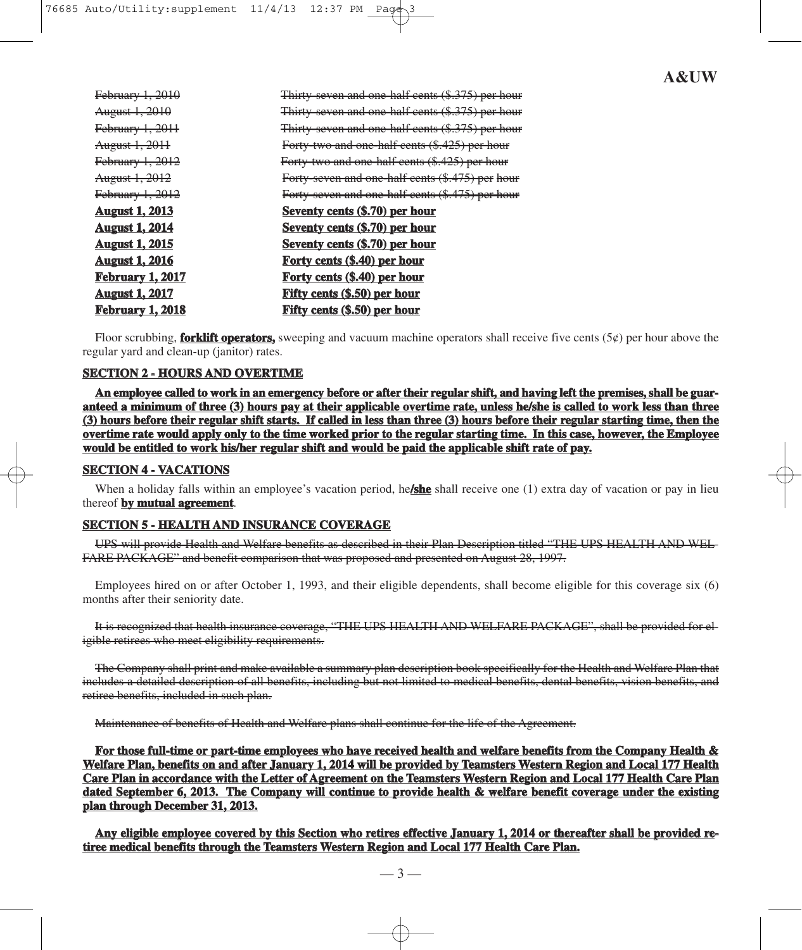| <del>February 1, 2010</del> | Thirty seven and one half cents (\$.375) per hour |
|-----------------------------|---------------------------------------------------|
| <del>August 1, 2010</del>   | Thirty seven and one half cents (\$.375) per hour |
| <del>February 1, 2011</del> | Thirty seven and one half cents (\$.375) per hour |
| <del>August 1, 2011</del>   | Forty two and one half cents (\$.425) per hour    |
| February 1, 2012            | Forty two and one half cents (\$.425) per hour    |
| <del>August 1, 2012</del>   | Forty seven and one half cents (\$.475) per hour  |
| <del>February 1, 2012</del> | Forty seven and one half cents (\$.475) per hour  |
| August 1, 2013              | <b>Seventy cents (\$.70) per hour</b>             |
| August 1, 2014              | <b>Seventy cents (\$.70) per hour</b>             |
| <u> August 1, 2015</u>      | Seventy cents (\$.70) per hour                    |
| <b>August 1, 2016</b>       | Forty cents (\$.40) per hour                      |
| <u>February 1, 2017</u>     | Forty cents (\$.40) per hour                      |
| August 1, 2017              | <b>Fifty cents (\$.50) per hour</b>               |
| <u>February 1, 2018</u>     | <b>Fifty cents (\$.50) per hour</b>               |
|                             |                                                   |

Floor scrubbing, **forklift operators**, sweeping and vacuum machine operators shall receive five cents (5 $\phi$ ) per hour above the regular yard and clean-up (janitor) rates.

#### **SECTION 2 - HOURS AND OVERTIME**

**An employee called to work in an emergency before or after their regular shift, and having left the premises, shall be guaranteed a minimum of three (3) hours pay at their applicable overtime rate, unless he/she is called to work less than three (3) hours before their regular shift starts. If called in less than three (3) hours before their regular starting time, then the overtime rate would apply only to the time worked prior to the regular starting time. In this case, however, the Employee would be entitled to work his/her regular shift and would be paid the applicable shift rate of pay.**

#### **SECTION 4 - VACATIONS**

When a holiday falls within an employee's vacation period, he**/she** shall receive one (1) extra day of vacation or pay in lieu thereof **by mutual agreement**.

## **SECTION 5 - HEALTH AND INSURANCE COVERAGE**

UPS will provide Health and Welfare benefits as described in their Plan Description titled "THE UPS HEALTH AND WEL-FARE PACKAGE" and benefit comparison that was proposed and presented on August 28, 1997.

Employees hired on or after October 1, 1993, and their eligible dependents, shall become eligible for this coverage six (6) months after their seniority date.

It is recognized that health insurance coverage, "THE UPS HEALTH AND WELFARE PACKAGE", shall be provided for eligible retirees who meet eligibility requirements.

The Company shall print and make available a summary plan description book specifically for the Health and Welfare Plan that includes a detailed description of all benefits, including but not limited to medical benefits, dental benefits, vision benefits, and retiree benefits, included in such plan.

Maintenance of benefits of Health and Welfare plans shall continue for the life of the Agreement.

**For those full-time or part-time employees who have received health and welfare benefits from the Company Health & Welfare Plan, benefits on and after January 1, 2014 will be provided by Teamsters Western Region and Local 177 Health Care Plan in accordance with the Letter of Agreement on the Teamsters Western Region and Local 177 Health Care Plan dated September 6, 2013. The Company will continue to provide health & welfare benefit coverage under the existing plan through December 31, 2013.**

**Any eligible employee covered by this Section who retires effective January 1, 2014 or thereafter shall be provided retiree medical benefits through the Teamsters Western Region and Local 177 Health Care Plan.**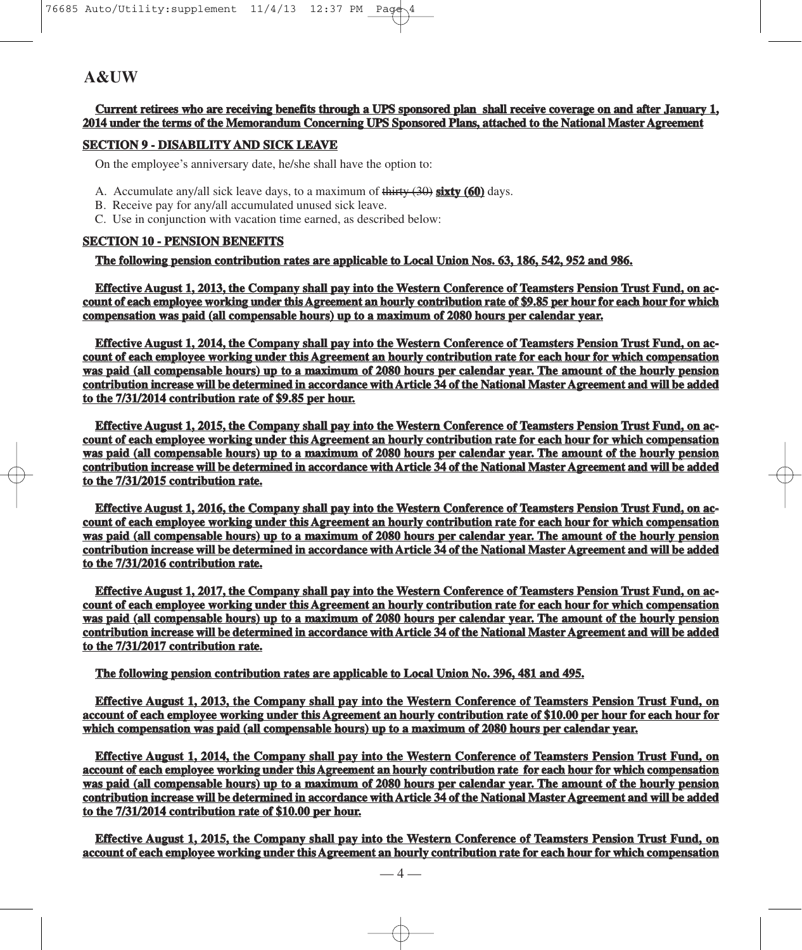**Current retirees who are receiving benefits through a UPS sponsored plan shall receive coverage on and after January 1, 2014 under the terms of the Memorandum Concerning UPS Sponsored Plans, attached to the National Master Agreement**

### **SECTION 9 - DISABILITY AND SICK LEAVE**

On the employee's anniversary date, he/she shall have the option to:

- A. Accumulate any/all sick leave days, to a maximum of thirty (30) **sixty (60)** days.
- B. Receive pay for any/all accumulated unused sick leave.
- C. Use in conjunction with vacation time earned, as described below:

# **SECTION 10 - PENSION BENEFITS**

**The following pension contribution rates are applicable to Local Union Nos. 63, 186, 542, 952 and 986.**

**Effective August 1, 2013, the Company shall pay into the Western Conference of Teamsters Pension Trust Fund, on account of each employee working under this Agreement an hourly contribution rate of \$9.85 per hour for each hour for which compensation was paid (all compensable hours) up to a maximum of 2080 hours per calendar year.**

**Effective August 1, 2014, the Company shall pay into the Western Conference of Teamsters Pension Trust Fund, on account of each employee working under this Agreement an hourly contribution rate for each hour for which compensation was paid (all compensable hours) up to a maximum of 2080 hours per calendar year. The amount of the hourly pension contribution increase will be determined in accordance with Article 34 of the National Master Agreement and will be added to the 7/31/2014 contribution rate of \$9.85 per hour.**

**Effective August 1, 2015, the Company shall pay into the Western Conference of Teamsters Pension Trust Fund, on account of each employee working under this Agreement an hourly contribution rate for each hour for which compensation was paid (all compensable hours) up to a maximum of 2080 hours per calendar year. The amount of the hourly pension contribution increase will be determined in accordance with Article 34 of the National Master Agreement and will be added to the 7/31/2015 contribution rate.**

**Effective August 1, 2016, the Company shall pay into the Western Conference of Teamsters Pension Trust Fund, on account of each employee working under this Agreement an hourly contribution rate for each hour for which compensation was paid (all compensable hours) up to a maximum of 2080 hours per calendar year. The amount of the hourly pension contribution increase will be determined in accordance with Article 34 of the National Master Agreement and will be added to the 7/31/2016 contribution rate.**

**Effective August 1, 2017, the Company shall pay into the Western Conference of Teamsters Pension Trust Fund, on account of each employee working under this Agreement an hourly contribution rate for each hour for which compensation was paid (all compensable hours) up to a maximum of 2080 hours per calendar year. The amount of the hourly pension contribution increase will be determined in accordance with Article 34 of the National Master Agreement and will be added to the 7/31/2017 contribution rate.**

**The following pension contribution rates are applicable to Local Union No. 396, 481 and 495.**

**Effective August 1, 2013, the Company shall pay into the Western Conference of Teamsters Pension Trust Fund, on account of each employee working under this Agreement an hourly contribution rate of \$10.00 per hour for each hour for which compensation was paid (all compensable hours) up to a maximum of 2080 hours per calendar year.**

**Effective August 1, 2014, the Company shall pay into the Western Conference of Teamsters Pension Trust Fund, on account of each employee working under this Agreement an hourly contribution rate for each hour for which compensation was paid (all compensable hours) up to a maximum of 2080 hours per calendar year. The amount of the hourly pension contribution increase will be determined in accordance with Article 34 of the National Master Agreement and will be added to the 7/31/2014 contribution rate of \$10.00 per hour.**

**Effective August 1, 2015, the Company shall pay into the Western Conference of Teamsters Pension Trust Fund, on account of each employee working under this Agreement an hourly contribution rate for each hour for which compensation**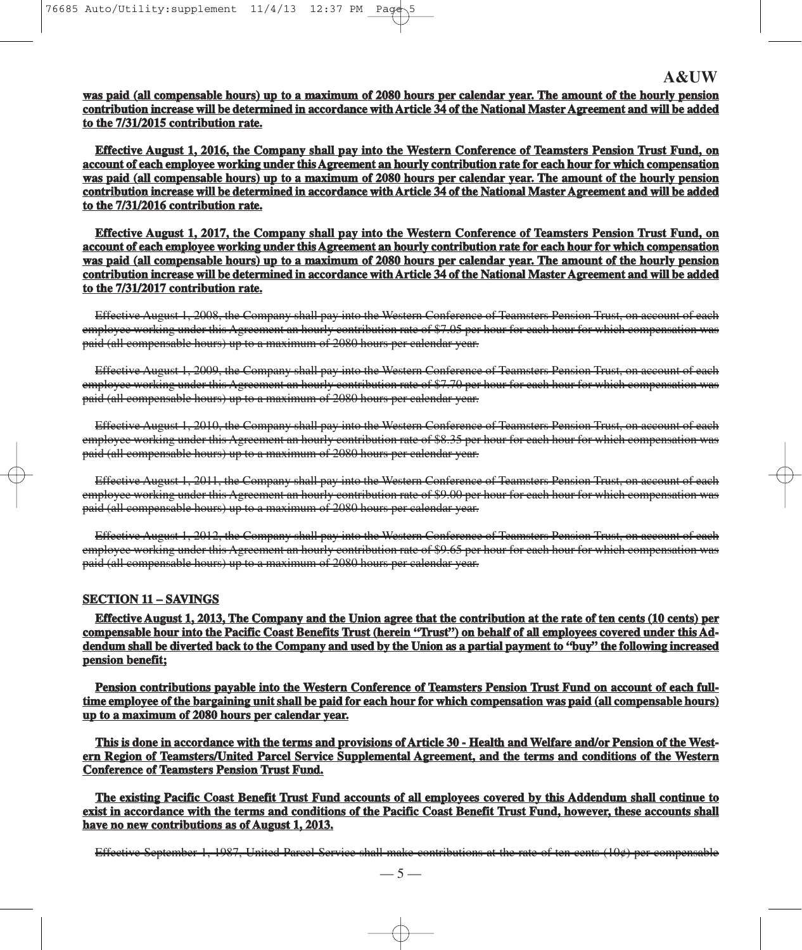**was paid (all compensable hours) up to a maximum of 2080 hours per calendar year. The amount of the hourly pension contribution increase will be determined in accordance with Article 34 of the National Master Agreement and will be added to the 7/31/2015 contribution rate.**

**Effective August 1, 2016, the Company shall pay into the Western Conference of Teamsters Pension Trust Fund, on account of each employee working under this Agreement an hourly contribution rate for each hour for which compensation was paid (all compensable hours) up to a maximum of 2080 hours per calendar year. The amount of the hourly pension contribution increase will be determined in accordance with Article 34 of the National Master Agreement and will be added to the 7/31/2016 contribution rate.**

**Effective August 1, 2017, the Company shall pay into the Western Conference of Teamsters Pension Trust Fund, on account of each employee working under this Agreement an hourly contribution rate for each hour for which compensation was paid (all compensable hours) up to a maximum of 2080 hours per calendar year. The amount of the hourly pension contribution increase will be determined in accordance with Article 34 of the National Master Agreement and will be added to the 7/31/2017 contribution rate.**

Effective August 1, 2008, the Company shall pay into the Western Conference of Teamsters Pension Trust, on account of each employee working under this Agreement an hourly contribution rate of \$7.05 per hour for each hour for which compensation was paid (all compensable hours) up to a maximum of 2080 hours per calendar year.

Effective August 1, 2009, the Company shall pay into the Western Conference of Teamsters Pension Trust, on account of each employee working under this Agreement an hourly contribution rate of \$7.70 per hour for each hour for which compensation was paid (all compensable hours) up to a maximum of 2080 hours per calendar year.

Effective August 1, 2010, the Company shall pay into the Western Conference of Teamsters Pension Trust, on account of each employee working under this Agreement an hourly contribution rate of \$8.35 per hour for each hour for which compensation was paid (all compensable hours) up to a maximum of 2080 hours per calendar year.

Effective August 1, 2011, the Company shall pay into the Western Conference of Teamsters Pension Trust, on account of each employee working under this Agreement an hourly contribution rate of \$9.00 per hour for each hour for which compensation was paid (all compensable hours) up to a maximum of 2080 hours per calendar year.

Effective August 1, 2012, the Company shall pay into the Western Conference of Teamsters Pension Trust, on account of each employee working under this Agreement an hourly contribution rate of \$9.65 per hour for each hour for which compensation was paid (all compensable hours) up to a maximum of 2080 hours per calendar year.

#### **SECTION 11 – SAVINGS**

**Effective August 1, 2013, The Company and the Union agree that the contribution at the rate of ten cents (10 cents) per compensable hour into the Pacific Coast Benefits Trust (herein "Trust") on behalf of all employees covered under this Addendum shall be diverted back to the Company and used by the Union as a partial payment to "buy" the following increased pension benefit;**

**Pension contributions payable into the Western Conference of Teamsters Pension Trust Fund on account of each fulltime employee of the bargaining unit shall be paid for each hour for which compensation was paid (all compensable hours) up to a maximum of 2080 hours per calendar year.**

**This is done in accordance with the terms and provisions of Article 30 - Health and Welfare and/or Pension of the Western Region of Teamsters/United Parcel Service Supplemental Agreement, and the terms and conditions of the Western Conference of Teamsters Pension Trust Fund.**

**The existing Pacific Coast Benefit Trust Fund accounts of all employees covered by this Addendum shall continue to exist in accordance with the terms and conditions of the Pacific Coast Benefit Trust Fund, however, these accounts shall have no new contributions as of August 1, 2013.**

Effective September 1, 1987, United Parcel Service shall make contributions at the rate of ten cents (10¢) per compensable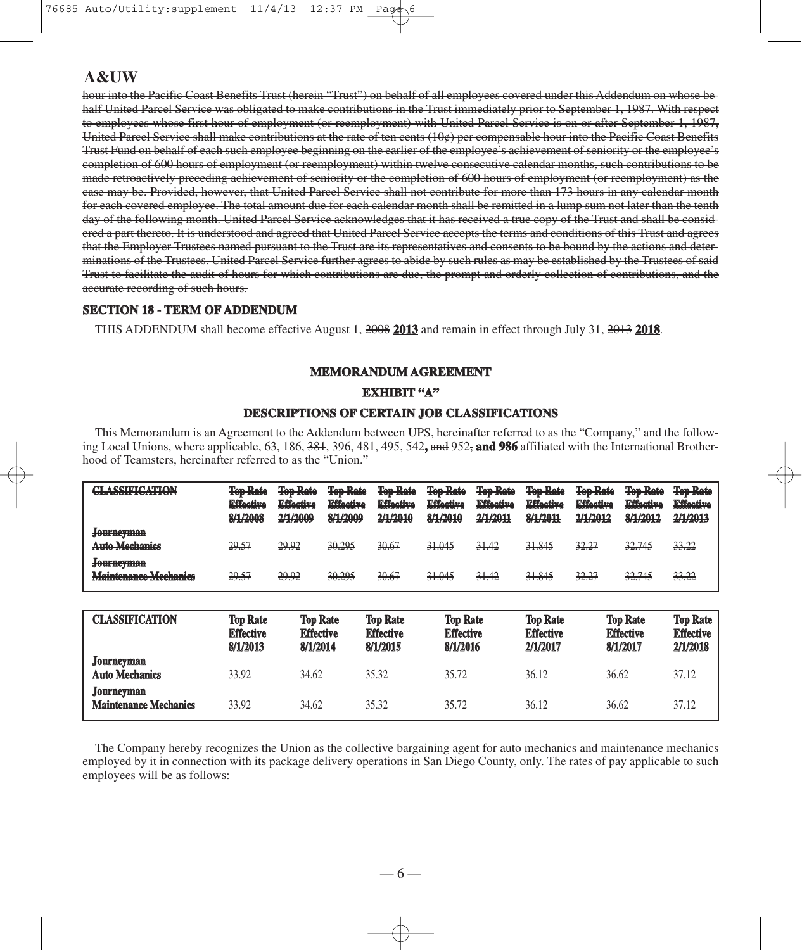hour into the Pacific Coast Benefits Trust (herein "Trust") on behalf of all employees covered under this Addendum on whose behalf United Parcel Service was obligated to make contributions in the Trust immediately prior to September 1, 1987. With respect to employees whose first hour of employment (or reemployment) with United Parcel Service is on or after September 1, 1987, United Parcel Service shall make contributions at the rate of ten cents (10¢) per compensable hour into the Pacific Coast Benefits Trust Fund on behalf of each such employee beginning on the earlier of the employee's achievement of seniority or the employee's completion of 600 hours of employment (or reemployment) within twelve consecutive calendar months, such contributions to be made retroactively preceding achievement of seniority or the completion of 600 hours of employment (or reemployment) as the case may be. Provided, however, that United Parcel Service shall not contribute for more than 173 hours in any calendar month for each covered employee. The total amount due for each calendar month shall be remitted in a lump sum not later than the tenth day of the following month. United Parcel Service acknowledges that it has received a true copy of the Trust and shall be considered a part thereto. It is understood and agreed that United Parcel Service accepts the terms and conditions of this Trust and agrees that the Employer Trustees named pursuant to the Trust are its representatives and consents to be bound by the actions and determinations of the Trustees. United Parcel Service further agrees to abide by such rules as may be established by the Trustees of said Trust to facilitate the audit of hours for which contributions are due, the prompt and orderly collection of contributions, and the accurate recording of such hours.

#### **SECTION 18 - TERM OF ADDENDUM**

THIS ADDENDUM shall become effective August 1, 2008 **2013** and remain in effect through July 31, 2013 **2018**.

# **MEMORANDUM AGREEMENT**

#### **EXHIBIT "A"**

## **DESCRIPTIONS OF CERTAIN JOB CLASSIFICATIONS**

This Memorandum is an Agreement to the Addendum between UPS, hereinafter referred to as the "Company," and the following Local Unions, where applicable, 63, 186, 381, 396, 481, 495, 542**,** and 952, **and 986** affiliated with the International Brotherhood of Teamsters, hereinafter referred to as the "Union."

| CI A CCIDICATION<br><b>THE R. P. LEWIS CO., LANSING, MICH.</b>                                                                   | <b>Ton Dots</b><br><b>TUP TURE</b><br><b>Fffootivo</b><br><b>PERMIT CAR</b><br><b>Q/1/2009</b><br><b>CONTRACTOR</b> | <b>Ton Dota</b><br><b>TUD TURE</b><br><b>Fffootivo</b><br><b>I WERE STORED</b><br>2/1/2000<br><b>ALC: NO WARDS</b> | <b>Top Rate</b><br><b>Fffootivo</b><br><b>PILLETIAN</b><br>8/1/2009 | <b>Top Rate</b><br><b>Fffootivo</b><br><b>I WERE STORED</b><br>2/1/2010 | <b>Top Rate</b><br><b>Fffootivo</b><br>1999年的发展了发展。<br>8/1/2010 | <b>Top Rate</b><br><b>Fffootivo</b><br><b>EARLY STATE</b><br>2/1/2011 | <b>Top Rate</b><br><b>Fffootivo</b><br><b><i><u>Printed States Contracts</u></i></b><br>8/1/2011 | <b>Top Rate</b><br><b>Fffootivo</b><br>1999年1月12日 日本大学<br>2/1/2012 | <b>Top Rate</b><br><b>Fffootivo</b><br>1999年1月12日 日本大学<br>8/1/2012 | <b>Top Rate</b><br><b>Effective</b><br>2/1/2013 |
|----------------------------------------------------------------------------------------------------------------------------------|---------------------------------------------------------------------------------------------------------------------|--------------------------------------------------------------------------------------------------------------------|---------------------------------------------------------------------|-------------------------------------------------------------------------|-----------------------------------------------------------------|-----------------------------------------------------------------------|--------------------------------------------------------------------------------------------------|--------------------------------------------------------------------|--------------------------------------------------------------------|-------------------------------------------------|
| <del>Journeyman</del><br>Anto Mechanics                                                                                          | 29.57                                                                                                               | 29.92                                                                                                              | 30.295                                                              | 30.67                                                                   | 31.045                                                          | 31.42                                                                 | 31.845                                                                                           | 32.27                                                              | 32.745                                                             | 33.22                                           |
| <u>Lanfhathaan</u><br><b>TO GALLASY LIBRARY</b><br>Maintananga Maghaniga<br>A 2008 10:00:00 2008 10:00:00 10:00:00 2008 10:00:00 | 29.57                                                                                                               | 29.92                                                                                                              | 30.295                                                              | 30.67                                                                   | 31.045                                                          | 31.42                                                                 | 31.845                                                                                           | 32.27                                                              | 32.745                                                             | 33.22                                           |

| <b>CLASSIFICATION</b>                      | <b>Top Rate</b><br><b>Effective</b><br>8/1/2013 | <b>Top Rate</b><br><b>Effective</b><br>8/1/2014 | <b>Top Rate</b><br><b>Effective</b><br>8/1/2015 | <b>Top Rate</b><br><b>Effective</b><br>8/1/2016 | <b>Top Rate</b><br><b>Effective</b><br>2/1/2017 | <b>Top Rate</b><br><b>Effective</b><br>8/1/2017 | <b>Top Rate</b><br><b>Effective</b><br>2/1/2018 |
|--------------------------------------------|-------------------------------------------------|-------------------------------------------------|-------------------------------------------------|-------------------------------------------------|-------------------------------------------------|-------------------------------------------------|-------------------------------------------------|
| Journeyman<br><b>Auto Mechanics</b>        | 33.92                                           | 34.62                                           | 35.32                                           | 35.72                                           | 36.12                                           | 36.62                                           | 37.12                                           |
| Journeyman<br><b>Maintenance Mechanics</b> | 33.92                                           | 34.62                                           | 35.32                                           | 35.72                                           | 36.12                                           | 36.62                                           | 37.12                                           |

The Company hereby recognizes the Union as the collective bargaining agent for auto mechanics and maintenance mechanics employed by it in connection with its package delivery operations in San Diego County, only. The rates of pay applicable to such employees will be as follows: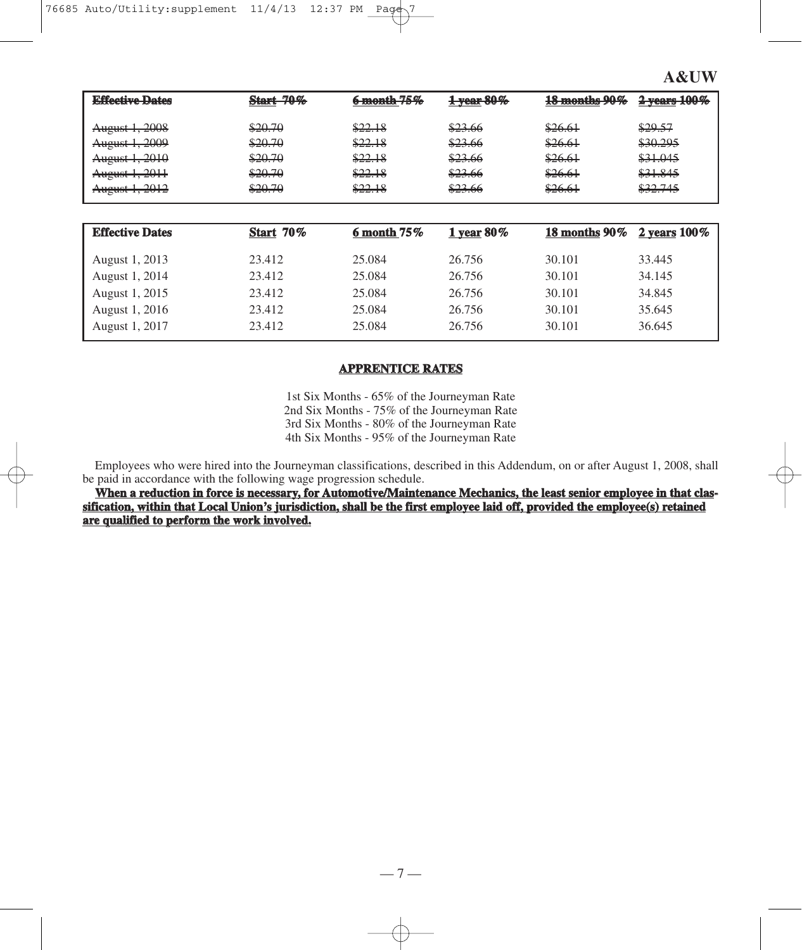| <b>Effective Dates</b>                                                                            | <b>Start 70%</b>                                    | 6 month 75%                                         | 1 year 80%                                                             | 18 months 90%                                       | $2$ years $100\%$                                                         |
|---------------------------------------------------------------------------------------------------|-----------------------------------------------------|-----------------------------------------------------|------------------------------------------------------------------------|-----------------------------------------------------|---------------------------------------------------------------------------|
| August 1, 2008<br><del>August 1, 2009</del><br>August 1, 2010<br>August 1, 2011<br>August 1, 2012 | \$20.70<br>\$20.70<br>\$20.70<br>\$20.70<br>\$20.70 | \$22.18<br>\$22.18<br>\$22.18<br>\$22.18<br>\$22.18 | \$23.66<br>\$23.66<br>\$23.66<br>\$23.66<br>82266<br><del>023.00</del> | \$26.61<br>\$26.61<br>\$26.61<br>\$26.61<br>\$26.61 | \$29.57<br>\$30.295<br>\$31.045<br>\$31.845<br>227745<br><u> ಘಾರ್ಷಿಗಳ</u> |

| <b>Effective Dates</b> | <b>Start 70%</b> | $6$ month $75\%$ | 1 year $80\%$ | 18 months $90\%$ 2 years $100\%$ |        |
|------------------------|------------------|------------------|---------------|----------------------------------|--------|
| August 1, 2013         | 23.412           | 25.084           | 26.756        | 30.101                           | 33.445 |
| August 1, 2014         | 23.412           | 25.084           | 26.756        | 30.101                           | 34.145 |
| August 1, 2015         | 23.412           | 25.084           | 26.756        | 30.101                           | 34.845 |
| August 1, 2016         | 23.412           | 25.084           | 26.756        | 30.101                           | 35.645 |
| August 1, 2017         | 23.412           | 25.084           | 26.756        | 30.101                           | 36.645 |

# **APPRENTICE RATES**

1st Six Months - 65% of the Journeyman Rate 2nd Six Months - 75% of the Journeyman Rate 3rd Six Months - 80% of the Journeyman Rate 4th Six Months - 95% of the Journeyman Rate

Employees who were hired into the Journeyman classifications, described in this Addendum, on or after August 1, 2008, shall be paid in accordance with the following wage progression schedule.

**When a reduction in force is necessary, for Automotive/Maintenance Mechanics, the least senior employee in that classification, within that Local Union's jurisdiction, shall be the first employee laid off, provided the employee(s) retained are qualified to perform the work involved.**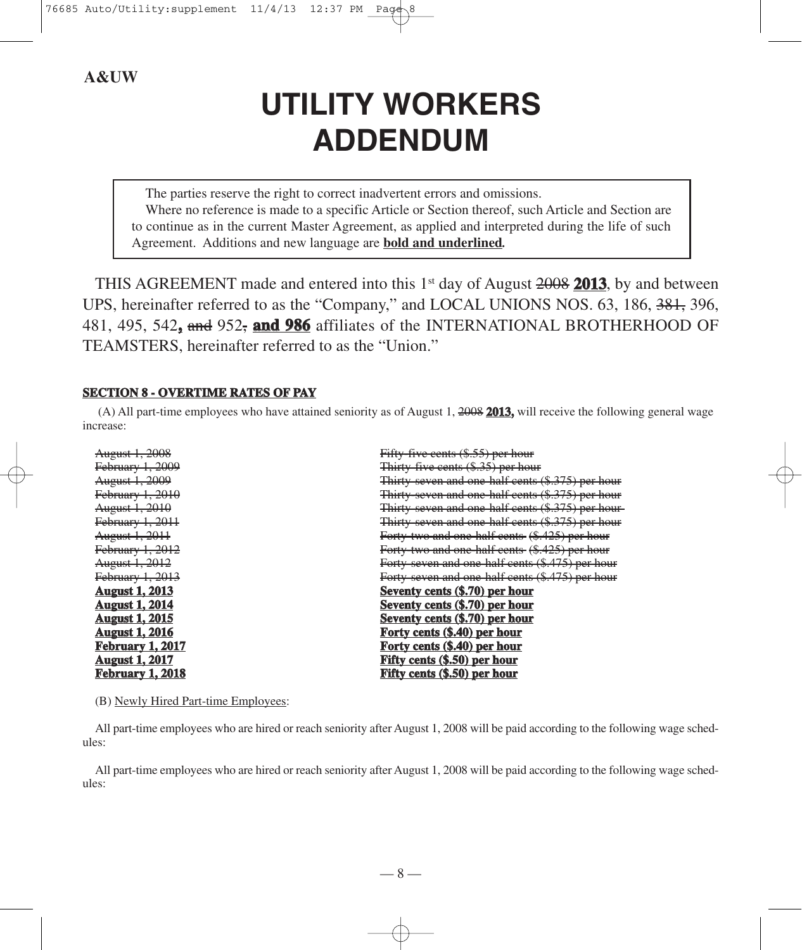# **UTILITY WORKERS ADDENDUM**

The parties reserve the right to correct inadvertent errors and omissions. Where no reference is made to a specific Article or Section thereof, such Article and Section are to continue as in the current Master Agreement, as applied and interpreted during the life of such Agreement. Additions and new language are **bold and underlined***.*

THIS AGREEMENT made and entered into this 1st day of August 2008 **2013**, by and between UPS, hereinafter referred to as the "Company," and LOCAL UNIONS NOS. 63, 186, 381, 396, 481, 495, 542**,** and 952, **and 986** affiliates of the INTERNATIONAL BROTHERHOOD OF TEAMSTERS, hereinafter referred to as the "Union."

## **SECTION 8 - OVERTIME RATES OF PAY**

(A) All part-time employees who have attained seniority as of August 1, 2008 **2013,** will receive the following general wage increase:

| Fifty-five cents (\$.55) per hour                            |
|--------------------------------------------------------------|
| Thirty five cents (\$.35) per hour                           |
| Thirty-seven and one-half cents (\$.375) per hour            |
| Thirty-seven and one-half cents (\$.375) per hour            |
| Thirty seven and one half cents (\$.375) per hour            |
| <del>Thirty-seven and one-half cents (\$.375) per hour</del> |
| Forty-two and one-half cents (\$.425) per hour               |
| Forty two and one half cents (\$.425) per hour               |
| Forty-seven and one-half cents (\$.475) per hour             |
| Forty-seven and one-half cents (\$.475) per hour             |
| Seventy cents (\$.70) per hour                               |
| Seventy cents (\$.70) per hour                               |
| Seventy cents (\$.70) per hour                               |
| Forty cents (\$.40) per hour                                 |
| Forty cents (\$.40) per hour                                 |
| Fifty cents (\$.50) per hour                                 |
| Fifty cents (\$.50) per hour                                 |
|                                                              |

(B) Newly Hired Part-time Employees:

All part-time employees who are hired or reach seniority after August 1, 2008 will be paid according to the following wage schedules:

All part-time employees who are hired or reach seniority after August 1, 2008 will be paid according to the following wage schedules: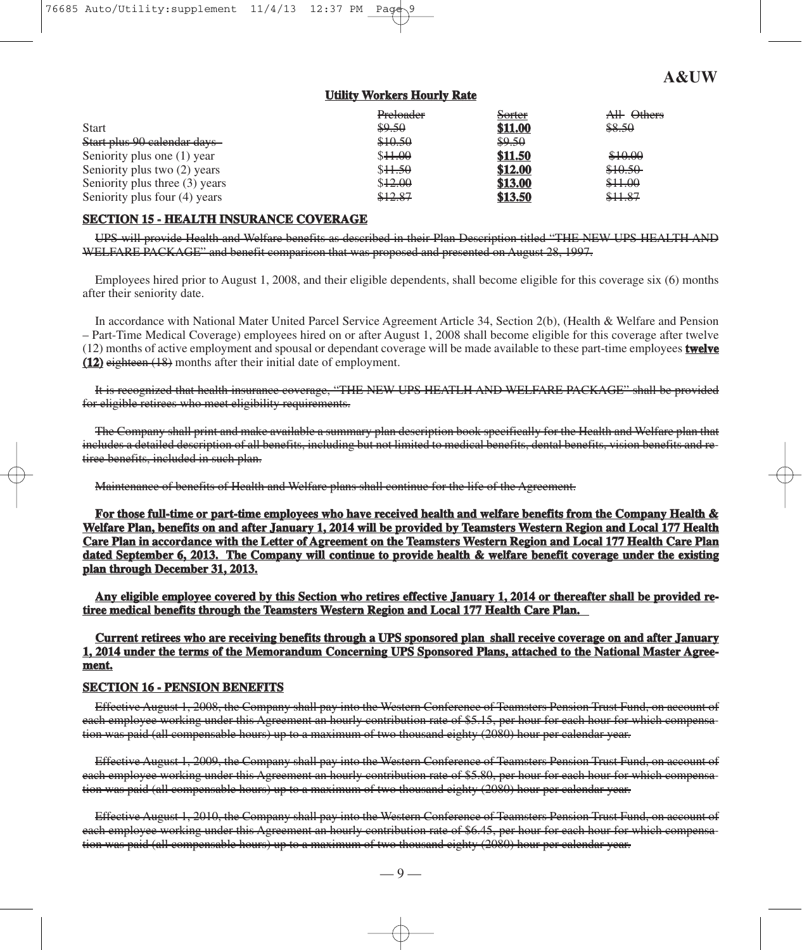#### **Utility Workers Hourly Rate**

|                                | Preloader | <del>Sorter</del> | All Others |
|--------------------------------|-----------|-------------------|------------|
| <b>Start</b>                   | \$9.50    | \$11.00           | \$8.50     |
| Start plus 90 calendar days-   | \$10.50   | \$9.50            |            |
| Seniority plus one (1) year    | \$44.00   | \$11.50           | \$10.00    |
| Seniority plus two (2) years   | \$44.50   | \$12.00           | \$10.50    |
| Seniority plus three (3) years | \$12.00   | \$13.00           | \$11.00    |
| Seniority plus four (4) years  | \$12.87   | \$13.50           | \$11.87    |

# **SECTION 15 - HEALTH INSURANCE COVERAGE**

UPS will provide Health and Welfare benefits as described in their Plan Description titled "THE NEW UPS HEALTH AND WELFARE PACKAGE" and benefit comparison that was proposed and presented on August 28, 1997.

Employees hired prior to August 1, 2008, and their eligible dependents, shall become eligible for this coverage six (6) months after their seniority date.

In accordance with National Mater United Parcel Service Agreement Article 34, Section 2(b), (Health & Welfare and Pension – Part-Time Medical Coverage) employees hired on or after August 1, 2008 shall become eligible for this coverage after twelve (12) months of active employment and spousal or dependant coverage will be made available to these part-time employees **twelve (12)** eighteen (18) months after their initial date of employment.

It is recognized that health insurance coverage, "THE NEW UPS HEATLH AND WELFARE PACKAGE" shall be provided for eligible retirees who meet eligibility requirements.

The Company shall print and make available a summary plan description book specifically for the Health and Welfare plan that includes a detailed description of all benefits, including but not limited to medical benefits, dental benefits, vision benefits and retiree benefits, included in such plan.

Maintenance of benefits of Health and Welfare plans shall continue for the life of the Agreement.

**For those full-time or part-time employees who have received health and welfare benefits from the Company Health & Welfare Plan, benefits on and after January 1, 2014 will be provided by Teamsters Western Region and Local 177 Health Care Plan in accordance with the Letter of Agreement on the Teamsters Western Region and Local 177 Health Care Plan dated September 6, 2013. The Company will continue to provide health & welfare benefit coverage under the existing plan through December 31, 2013.**

**Any eligible employee covered by this Section who retires effective January 1, 2014 or thereafter shall be provided retiree medical benefits through the Teamsters Western Region and Local 177 Health Care Plan.** 

**Current retirees who are receiving benefits through a UPS sponsored plan shall receive coverage on and after January 1, 2014 under the terms of the Memorandum Concerning UPS Sponsored Plans, attached to the National Master Agreement.**

#### **SECTION 16 - PENSION BENEFITS**

Effective August 1, 2008, the Company shall pay into the Western Conference of Teamsters Pension Trust Fund, on account of each employee working under this Agreement an hourly contribution rate of \$5.15, per hour for each hour for which compensation was paid (all compensable hours) up to a maximum of two thousand eighty (2080) hour per calendar year.

Effective August 1, 2009, the Company shall pay into the Western Conference of Teamsters Pension Trust Fund, on account of each employee working under this Agreement an hourly contribution rate of \$5.80, per hour for each hour for which compensation was paid (all compensable hours) up to a maximum of two thousand eighty (2080) hour per calendar year.

Effective August 1, 2010, the Company shall pay into the Western Conference of Teamsters Pension Trust Fund, on account of each employee working under this Agreement an hourly contribution rate of \$6.45, per hour for each hour for which compensation was paid (all compensable hours) up to a maximum of two thousand eighty (2080) hour per calendar year.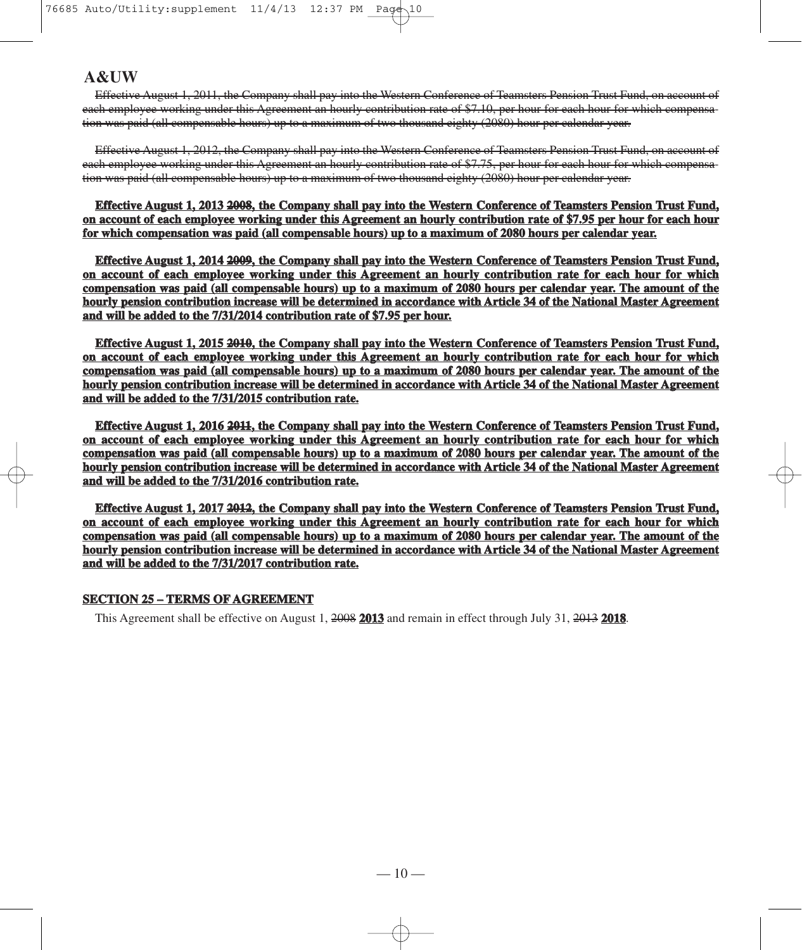Effective August 1, 2011, the Company shall pay into the Western Conference of Teamsters Pension Trust Fund, on account of each employee working under this Agreement an hourly contribution rate of \$7.10, per hour for each hour for which compensation was paid (all compensable hours) up to a maximum of two thousand eighty (2080) hour per calendar year.

Effective August 1, 2012, the Company shall pay into the Western Conference of Teamsters Pension Trust Fund, on account of each employee working under this Agreement an hourly contribution rate of \$7.75, per hour for each hour for which compensation was paid (all compensable hours) up to a maximum of two thousand eighty (2080) hour per calendar year.

**Effective August 1, 2013 2008, the Company shall pay into the Western Conference of Teamsters Pension Trust Fund, on account of each employee working under this Agreement an hourly contribution rate of \$7.95 per hour for each hour for which compensation was paid (all compensable hours) up to a maximum of 2080 hours per calendar year.**

**Effective August 1, 2014 2009, the Company shall pay into the Western Conference of Teamsters Pension Trust Fund, on account of each employee working under this Agreement an hourly contribution rate for each hour for which compensation was paid (all compensable hours) up to a maximum of 2080 hours per calendar year. The amount of the hourly pension contribution increase will be determined in accordance with Article 34 of the National Master Agreement and will be added to the 7/31/2014 contribution rate of \$7.95 per hour.**

**Effective August 1, 2015 2010, the Company shall pay into the Western Conference of Teamsters Pension Trust Fund, on account of each employee working under this Agreement an hourly contribution rate for each hour for which compensation was paid (all compensable hours) up to a maximum of 2080 hours per calendar year. The amount of the hourly pension contribution increase will be determined in accordance with Article 34 of the National Master Agreement and will be added to the 7/31/2015 contribution rate.**

**Effective August 1, 2016 2011, the Company shall pay into the Western Conference of Teamsters Pension Trust Fund, on account of each employee working under this Agreement an hourly contribution rate for each hour for which compensation was paid (all compensable hours) up to a maximum of 2080 hours per calendar year. The amount of the hourly pension contribution increase will be determined in accordance with Article 34 of the National Master Agreement and will be added to the 7/31/2016 contribution rate.**

**Effective August 1, 2017 2012, the Company shall pay into the Western Conference of Teamsters Pension Trust Fund, on account of each employee working under this Agreement an hourly contribution rate for each hour for which compensation was paid (all compensable hours) up to a maximum of 2080 hours per calendar year. The amount of the hourly pension contribution increase will be determined in accordance with Article 34 of the National Master Agreement and will be added to the 7/31/2017 contribution rate.**

#### **SECTION 25 – TERMS OF AGREEMENT**

This Agreement shall be effective on August 1, 2008 **2013** and remain in effect through July 31, 2013 **2018**.